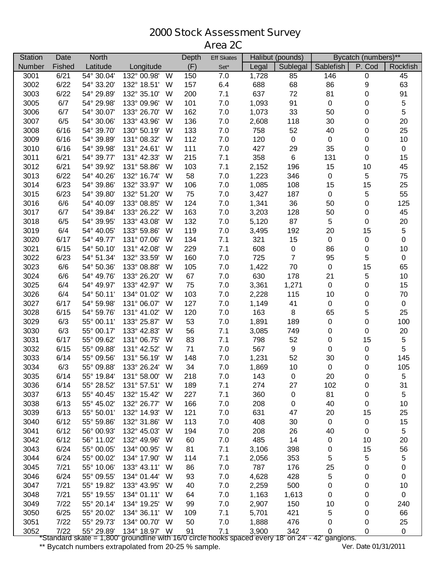## **Stock Assessment Survey Area 2C**

| <b>Station</b> | Date   | <b>North</b> |                  | Depth | <b>Eff Skates</b> | Halibut (pounds) |                  | Bycatch (numbers)** |           |             |
|----------------|--------|--------------|------------------|-------|-------------------|------------------|------------------|---------------------|-----------|-------------|
| Number         | Fished | Latitude     | Longitude        | (F)   | Set*              | Legal            | Sublegal         | Sablefish           | P. Cod    | Rockfish    |
| 3001           | 6/21   | 54° 30.04'   | 132° 00.98'<br>W | 150   | 7.0               | 1,728            | 85               | 146                 | $\pmb{0}$ | 45          |
| 3002           | 6/22   | 54° 33.20'   | 132° 18.51'<br>W | 157   | 6.4               | 688              | 68               | 86                  | 9         | 63          |
| 3003           | 6/22   | 54° 29.89'   | 132° 35.10'<br>W | 200   | 7.1               | 637              | 72               | 81                  | 0         | 91          |
| 3005           | 6/7    | 54° 29.98'   | 133° 09.96'<br>W | 101   | 7.0               | 1,093            | 91               | $\pmb{0}$           | 0         | $\,$ 5 $\,$ |
| 3006           | 6/7    | 54° 30.07'   | 133° 26.70'<br>W | 162   | 7.0               | 1,073            | 33               | 50                  | 0         | 5           |
| 3007           | 6/5    | 54° 30.06'   | 133° 43.96'<br>W | 136   | 7.0               | 2,608            | 118              | $30\,$              | 0         | 20          |
| 3008           | 6/16   | 54° 39.70'   | 130° 50.19'<br>W | 133   | 7.0               | 758              | 52               | 40                  | 0         | 25          |
| 3009           | 6/16   | 54° 39.89'   | 131° 08.32'<br>W | 112   | 7.0               | 120              | $\mathbf 0$      | $\pmb{0}$           | 0         | 10          |
| 3010           | 6/16   | 54° 39.98'   | 131° 24.61'<br>W | 111   | 7.0               | 427              | 29               | 35                  | 0         | $\pmb{0}$   |
| 3011           | 6/21   | 54° 39.77'   | 131° 42.33'<br>W | 215   | 7.1               | 358              | 6                | 131                 | 0         | 15          |
| 3012           | 6/21   | 54° 39.92'   | 131° 58.86'<br>W | 103   | 7.1               | 2,152            | 196              | 15                  | 10        | 45          |
| 3013           | 6/22   | 54° 40.26'   | 132° 16.74'<br>W | 58    | 7.0               | 1,223            | 346              | $\pmb{0}$           | 5         | 75          |
| 3014           | 6/23   | 54° 39.86'   | 132° 33.97'<br>W | 106   | 7.0               | 1,085            | 108              | 15                  | 15        | 25          |
| 3015           | 6/23   | 54° 39.80'   | 132° 51.20'<br>W | 75    | 7.0               | 3,427            | 187              | $\pmb{0}$           | 5         | 55          |
| 3016           | 6/6    | 54° 40.09'   | 133° 08.85'<br>W | 124   | 7.0               | 1,341            | 36               | 50                  | 0         | 125         |
| 3017           | 6/7    | 54° 39.84'   | 133° 26.22'<br>W | 163   | 7.0               | 3,203            | 128              | 50                  | 0         | 45          |
| 3018           | 6/5    | 54° 39.95'   | 133° 43.08'<br>W | 132   | 7.0               | 5,120            | 87               | $\sqrt{5}$          | $\pmb{0}$ | 20          |
| 3019           | 6/4    | 54° 40.05'   | 133° 59.86'<br>W | 119   | 7.0               | 3,495            | 192              | 20                  | 15        | 5           |
| 3020           | 6/17   | 54° 49.77'   | 131° 07.06'<br>W | 134   | 7.1               | 321              | 15               | $\pmb{0}$           | $\pmb{0}$ | $\pmb{0}$   |
| 3021           | 6/15   | 54° 50.10'   | 131° 42.08'<br>W | 229   | 7.1               | 608              | $\pmb{0}$        | 86                  | 0         | 10          |
| 3022           | 6/23   | 54° 51.34'   | 132° 33.59'<br>W | 160   | 7.0               | 725              | $\overline{7}$   | 95                  | 5         | $\pmb{0}$   |
| 3023           | 6/6    | 54° 50.36'   | 133° 08.88'<br>W | 105   | 7.0               | 1,422            | 70               | $\pmb{0}$           | 15        | 65          |
| 3024           | 6/6    | 54° 49.76'   | 133° 26.20'<br>W | 67    | 7.0               | 630              | 178              | 21                  | 5         | 10          |
| 3025           | 6/4    | 54° 49.97'   | 133° 42.97'<br>W | 75    | 7.0               | 3,361            | 1,271            | $\pmb{0}$           | $\pmb{0}$ | 15          |
| 3026           | 6/4    | 54° 50.11'   | 134° 01.02'<br>W | 103   | 7.0               | 2,228            | 115              | 10                  | 0         | $70\,$      |
| 3027           | 6/17   | 54° 59.98'   | 131° 06.07'<br>W | 127   | 7.0               | 1,149            | 41               | $\pmb{0}$           | 0         | $\pmb{0}$   |
| 3028           | 6/15   | 54° 59.76'   | 131° 41.02'<br>W | 120   | 7.0               | 163              | 8                | 65                  | 5         | 25          |
| 3029           | 6/3    | 55° 00.11'   | 133° 25.87'<br>W | 53    | 7.0               | 1,891            | 189              | $\pmb{0}$           | $\pmb{0}$ | 100         |
| 3030           | 6/3    | 55° 00.17'   | 133° 42.83'<br>W | 56    | 7.1               | 3,085            | 749              | 0                   | $\pmb{0}$ | $20\,$      |
| 3031           | 6/17   | 55° 09.62'   | 131° 06.75'<br>W | 83    | 7.1               | 798              | 52               | $\pmb{0}$           | 15        | $\sqrt{5}$  |
| 3032           | 6/15   | 55° 09.88'   | 131° 42.52'<br>W | 71    | 7.0               | 567              | $\boldsymbol{9}$ | $\pmb{0}$           | $\pmb{0}$ | 5           |
| 3033           | 6/14   | 55° 09.56'   | 131° 56.19'<br>W | 148   | 7.0               | 1,231            | 52               | 30                  | 0         | 145         |
| 3034           | 6/3    | 55° 09.88'   | 133° 26.24'<br>W | 34    | 7.0               | 1,869            | 10               | $\pmb{0}$           | 0         | 105         |
| 3035           | 6/14   | 55° 19.84'   | 131° 58.00'<br>W | 218   | 7.0               | 143              | 0                | 20                  | 0         | 5           |
| 3036           | 6/14   | 55° 28.52'   | 131° 57.51'<br>W | 189   | 7.1               | 274              | 27               | 102                 | 0         | 31          |
| 3037           | 6/13   | 55° 40.45'   | 132° 15.42'<br>W | 227   | 7.1               | 360              | $\pmb{0}$        | 81                  | 0         | 5           |
| 3038           | 6/13   | 55° 45.02'   | 132° 26.77'<br>W | 166   | 7.0               | 208              | 0                | 40                  | 0         | 10          |
| 3039           | 6/13   | 55° 50.01'   | 132° 14.93'<br>W | 121   | 7.0               | 631              | 47               | 20                  | 15        | 25          |
| 3040           | 6/12   | 55° 59.86'   | 132° 31.86'<br>W | 113   | 7.0               | 408              | 30               | $\pmb{0}$           | 0         | 15          |
| 3041           | 6/12   | 56° 00.93'   | 132° 45.03'<br>W | 194   | 7.0               | 208              | 26               | 40                  | 0         | $\sqrt{5}$  |
| 3042           | 6/12   | 56° 11.02'   | 132° 49.96'<br>W | 60    | 7.0               | 485              | 14               | $\pmb{0}$           | 10        | 20          |
| 3043           | 6/24   | 55° 00.05'   | 134° 00.95'<br>W | 81    | 7.1               | 3,106            | 398              | 0                   | 15        | 56          |
| 3044           | 6/24   | 55° 00.02'   | 134° 17.90'<br>W | 114   | 7.1               | 2,056            | 353              | 5                   | 5         | $\,$ 5 $\,$ |
| 3045           | 7/21   | 55° 10.06'   | 133° 43.11'<br>W | 86    | 7.0               | 787              | 176              | 25                  | 0         | $\pmb{0}$   |
| 3046           | 6/24   | 55° 09.55'   | 134° 01.44'<br>W | 93    | 7.0               | 4,628            | 428              | 5                   | 0         | $\pmb{0}$   |
| 3047           | 7/21   | 55° 19.82'   | 133° 43.95'<br>W | 40    | 7.0               | 2,259            | 500              | $\pmb{0}$           | 0         | 10          |
| 3048           | 7/21   | 55° 19.55'   | 134° 01.11'<br>W | 64    | 7.0               | 1,163            | 1,613            | 0                   | 0         | $\pmb{0}$   |
| 3049           | 7/22   | 55° 20.14'   | 134° 19.25'<br>W | 99    | 7.0               | 2,907            | 150              | 10                  | 0         | 240         |
| 3050           | 6/25   | 55° 20.02'   | 134° 36.11'<br>W | 109   | 7.1               | 5,701            | 421              | 5                   | 0         | 66          |
| 3051           | 7/22   | 55° 29.73'   | 134° 00.70'<br>W | 50    | 7.0               | 1,888            | 476              | 0                   | 0         | 25          |
| 3052           | 7/22   | 55° 29.89'   | 134° 18.97' W    | 91    | 7.1               | 3,900            | 342              | 0                   | 0         | $\mathbf 0$ |

\*Standard skate = 1,800' groundline with 16/0 circle hooks spaced every 18' on 24' - 42' gangions.

\*\* Bycatch numbers extrapolated from 20-25 % sample. *Ver. Date 01/31/2011*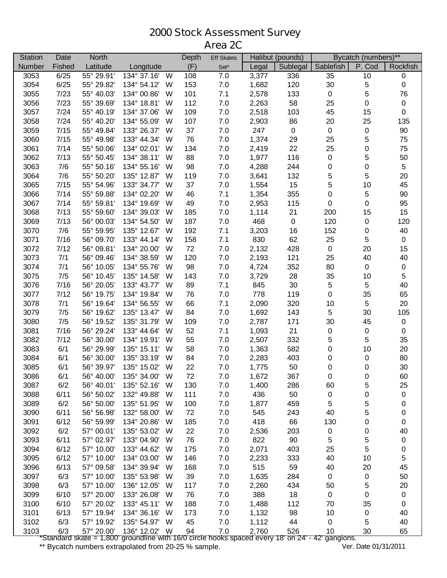## **Stock Assessment Survey Area 2C**

| P. Cod<br>(F)<br>Sublegal<br>Sablefish<br>Fished<br>Latitude<br>Rockfish<br>Number<br>Legal<br>Longitude<br>Set*<br>55° 29.91'<br>134° 37.16'<br>3053<br>6/25<br>W<br>108<br>7.0<br>3,377<br>35<br>10<br>336<br>0<br>153<br>30<br>5<br>$\pmb{0}$<br>3054<br>6/25<br>55° 29.82'<br>134° 54.12'<br>7.0<br>1,682<br>120<br>W<br>5<br>101<br>2,578<br>$\pmb{0}$<br>76<br>3055<br>7/23<br>55° 40.03'<br>134° 00.86'<br>W<br>7.1<br>133<br>7/23<br>112<br>2,263<br>58<br>25<br>$\pmb{0}$<br>$\mathbf 0$<br>3056<br>55° 39.69'<br>134° 18.81'<br>W<br>7.0<br>7/24<br>109<br>45<br>$\pmb{0}$<br>3057<br>55° 40.19'<br>134° 37.06'<br>W<br>7.0<br>2,518<br>103<br>15<br>107<br>20<br>135<br>3058<br>7/24<br>55° 40.20'<br>134° 55.09'<br>W<br>7.0<br>2,903<br>86<br>25<br>7/15<br>133° 26.37'<br>37<br>247<br>$90\,$<br>3059<br>55° 49.84'<br>W<br>7.0<br>$\pmb{0}$<br>$\pmb{0}$<br>$\pmb{0}$<br>7/15<br>76<br>1,374<br>25<br>5<br>75<br>3060<br>133° 44.34'<br>7.0<br>29<br>55° 49.98'<br>W<br>25<br>0<br>75<br>3061<br>7/14<br>134° 02.01'<br>134<br>7.0<br>2,419<br>22<br>55° 50.06'<br>W<br>88<br>3062<br>7/13<br>134° 38.11'<br>1,977<br>116<br>$\pmb{0}$<br>5<br>50<br>55° 50.45'<br>W<br>7.0<br>5<br>7/6<br>98<br>4,288<br>0<br>0<br>3063<br>55° 50.16'<br>134° 55.16'<br>W<br>7.0<br>244<br>5<br>7/6<br>5<br>20<br>3064<br>55° 50.20'<br>135° 12.87'<br>W<br>119<br>7.0<br>3,641<br>132<br>15<br>3065<br>7/15<br>5<br>10<br>45<br>55° 54.96'<br>133° 34.77'<br>W<br>37<br>7.0<br>1,554<br>5<br>7/14<br>134° 02.20'<br>46<br>1,354<br>355<br>0<br>90<br>3066<br>55° 59.88'<br>W<br>7.1<br>134° 19.69'<br>49<br>115<br>$\pmb{0}$<br>0<br>95<br>3067<br>7/14<br>55° 59.81'<br>W<br>7.0<br>2,953<br>7/13<br>185<br>21<br>200<br>15<br>3068<br>55° 59.60'<br>134° 39.03'<br>W<br>7.0<br>1,114<br>15<br>7/13<br>187<br>468<br>$\pmb{0}$<br>120<br>120<br>3069<br>56° 00.03'<br>134° 54.50'<br>7.0<br>0<br>W<br>7/6<br>192<br>16<br>40<br>3070<br>55° 59.95'<br>135° 12.67'<br>W<br>7.1<br>3,203<br>152<br>0<br>3071<br>7/16<br>158<br>7.1<br>830<br>62<br>25<br>5<br>$\pmb{0}$<br>56° 09.70'<br>133° 44.14'<br>W<br>3072<br>7/12<br>72<br>$\pmb{0}$<br>20<br>15<br>56° 09.81'<br>134° 20.00'<br>7.0<br>2,132<br>428<br>W<br>3073<br>120<br>7/1<br>56° 09.46'<br>134° 38.59'<br>7.0<br>2,193<br>121<br>25<br>40<br>40<br>W<br>98<br>3074<br>7/1<br>80<br>$\pmb{0}$<br>56° 10.05'<br>134° 55.76'<br>W<br>7.0<br>4,724<br>352<br>$\mathbf 0$<br>5<br>3075<br>7/5<br>143<br>28<br>35<br>56° 10.45'<br>135° 14.58'<br>7.0<br>3,729<br>10<br>W<br>7/16<br>89<br>845<br>30<br>$\sqrt{5}$<br>5<br>40<br>3076<br>56° 20.05'<br>133° 43.77'<br>W<br>7.1<br>3077<br>7/12<br>76<br>778<br>119<br>$\pmb{0}$<br>35<br>65<br>56° 19.75'<br>134° 19.84'<br>W<br>7.0<br>66<br>7/1<br>10<br>5<br>20<br>3078<br>56° 19.64'<br>134° 56.55'<br>W<br>7.1<br>2,090<br>320<br>7/5<br>84<br>$\,$ 5 $\,$<br>105<br>3079<br>56° 19.62'<br>135° 13.47'<br>W<br>7.0<br>1,692<br>143<br>30<br>3080<br>7/5<br>109<br>2,787<br>171<br>30<br>$\pmb{0}$<br>56° 19.52'<br>135° 31.79'<br>W<br>7.0<br>45<br>7/16<br>52<br>1,093<br>21<br>$\pmb{0}$<br>3081<br>56° 29.24'<br>133° 44.64'<br>W<br>7.1<br>$\pmb{0}$<br>$\pmb{0}$<br>5<br>7/12<br>55<br>2,507<br>332<br>$\sqrt{5}$<br>35<br>3082<br>134° 19.91'<br>7.0<br>56° 30.00'<br>W<br>6/1<br>58<br>0<br>10<br>20<br>3083<br>56° 29.99'<br>135° 15.11'<br>7.0<br>1,363<br>582<br>W<br>403<br>3084<br>6/1<br>56° 30.00'<br>135° 33.19'<br>W<br>84<br>7.0<br>2,283<br>0<br>$\pmb{0}$<br>80<br>22<br>50<br>30<br>3085<br>6/1<br>56° 39.97'<br>135° 15.02'<br>W<br>7.0<br>1,775<br>0<br>0<br>60<br>3086<br>6/1<br>135° 34.00' W<br>72<br>1,672<br>367<br>0<br>56° 40.00'<br>7.0<br>0<br>3087<br>6/2<br>56° 40.01'<br>135° 52.16'<br>130<br>5<br>25<br>W<br>7.0<br>1,400<br>286<br>60<br>3088<br>6/11<br>111<br>7.0<br>436<br>50<br>0<br>56° 50.02'<br>132° 49.88'<br>W<br>0<br>0<br>3089<br>6/2<br>100<br>7.0<br>459<br>$\sqrt{5}$<br>5<br>56° 50.00'<br>135° 51.95'<br>W<br>1,877<br>0<br>3090<br>6/11<br>56° 56.98'<br>72<br>7.0<br>545<br>40<br>5<br>132° 58.00'<br>W<br>243<br>0<br>3091<br>6/12<br>56° 59.99'<br>134° 20.86'<br>185<br>7.0<br>418<br>66<br>130<br>0<br>W<br>0<br>6/2<br>22<br>3092<br>57° 00.01'<br>135° 53.02'<br>W<br>7.0<br>2,536<br>203<br>0<br>40<br>0<br>76<br>822<br>5<br>3093<br>6/11<br>133° 04.90'<br>7.0<br>90<br>$\sqrt{5}$<br>0<br>57° 02.97'<br>W<br>5<br>175<br>3094<br>6/12<br>57° 10.00'<br>133° 44.62'<br>7.0<br>2,071<br>25<br>W<br>403<br>0<br>6/12<br>146<br>40<br>5<br>3095<br>57° 10.00'<br>134° 03.00'<br>7.0<br>2,233<br>333<br>10<br>W<br>3096<br>6/13<br>134° 39.94'<br>168<br>7.0<br>515<br>59<br>40<br>45<br>57° 09.58'<br>W<br>20<br>6/3<br>39<br>3097<br>135° 53.98'<br>7.0<br>1,635<br>$\pmb{0}$<br>50<br>57° 10.00'<br>W<br>284<br>0<br>6/3<br>3098<br>57° 10.00'<br>136° 12.05'<br>117<br>7.0<br>2,260<br>434<br>50<br>5<br>20<br>W<br>76<br>388<br>3099<br>6/10<br>133° 26.08'<br>7.0<br>18<br>$\pmb{0}$<br>57° 20.00'<br>W<br>0<br>0<br>6/10<br>188<br>3100<br>133° 45.11'<br>7.0<br>1,488<br>112<br>70<br>57° 20.02'<br>W<br>35<br>0<br>6/13<br>173<br>98<br>3101<br>57° 19.94'<br>134° 36.16'<br>W<br>7.0<br>1,132<br>10<br>0<br>40<br>6/3<br>45<br>44<br>3102<br>57° 19.92'<br>135° 54.97' W<br>7.0<br>1,112<br>0<br>5<br>40<br>94<br>3103<br>6/3<br>57° 20.00'<br>136° 12.02' W<br>7.0<br>2,760<br>526<br>10<br>30<br>65<br>Standard skate = 1,800' groundline with 16/0 circle hooks spaced every 18' on 24' - 42' gangions. | <b>Station</b> | Date | <b>North</b> | Depth | <b>Eff Skates</b> | Halibut (pounds) |  | Bycatch (numbers)** |  |  |
|-----------------------------------------------------------------------------------------------------------------------------------------------------------------------------------------------------------------------------------------------------------------------------------------------------------------------------------------------------------------------------------------------------------------------------------------------------------------------------------------------------------------------------------------------------------------------------------------------------------------------------------------------------------------------------------------------------------------------------------------------------------------------------------------------------------------------------------------------------------------------------------------------------------------------------------------------------------------------------------------------------------------------------------------------------------------------------------------------------------------------------------------------------------------------------------------------------------------------------------------------------------------------------------------------------------------------------------------------------------------------------------------------------------------------------------------------------------------------------------------------------------------------------------------------------------------------------------------------------------------------------------------------------------------------------------------------------------------------------------------------------------------------------------------------------------------------------------------------------------------------------------------------------------------------------------------------------------------------------------------------------------------------------------------------------------------------------------------------------------------------------------------------------------------------------------------------------------------------------------------------------------------------------------------------------------------------------------------------------------------------------------------------------------------------------------------------------------------------------------------------------------------------------------------------------------------------------------------------------------------------------------------------------------------------------------------------------------------------------------------------------------------------------------------------------------------------------------------------------------------------------------------------------------------------------------------------------------------------------------------------------------------------------------------------------------------------------------------------------------------------------------------------------------------------------------------------------------------------------------------------------------------------------------------------------------------------------------------------------------------------------------------------------------------------------------------------------------------------------------------------------------------------------------------------------------------------------------------------------------------------------------------------------------------------------------------------------------------------------------------------------------------------------------------------------------------------------------------------------------------------------------------------------------------------------------------------------------------------------------------------------------------------------------------------------------------------------------------------------------------------------------------------------------------------------------------------------------------------------------------------------------------------------------------------------------------------------------------------------------------------------------------------------------------------------------------------------------------------------------------------------------------------------------------------------------------------------------------------------------------------------------------------------------------------------------------------------------------------------------------------------------------------------------------------------------------------------------------------------------------------------------------------------------------------------------------------------------------------------------------------------------------------------------------------------------------------------------------------------------------------------------------------------------------------------------------------------------------------------------------------------------------------------------------------------------------------------------------------------------------------------------------------------------------------------------------------------------------------------------------------|----------------|------|--------------|-------|-------------------|------------------|--|---------------------|--|--|
|                                                                                                                                                                                                                                                                                                                                                                                                                                                                                                                                                                                                                                                                                                                                                                                                                                                                                                                                                                                                                                                                                                                                                                                                                                                                                                                                                                                                                                                                                                                                                                                                                                                                                                                                                                                                                                                                                                                                                                                                                                                                                                                                                                                                                                                                                                                                                                                                                                                                                                                                                                                                                                                                                                                                                                                                                                                                                                                                                                                                                                                                                                                                                                                                                                                                                                                                                                                                                                                                                                                                                                                                                                                                                                                                                                                                                                                                                                                                                                                                                                                                                                                                                                                                                                                                                                                                                                                                                                                                                                                                                                                                                                                                                                                                                                                                                                                                                                                                                                                                                                                                                                                                                                                                                                                                                                                                                                                                                                                                                               |                |      |              |       |                   |                  |  |                     |  |  |
|                                                                                                                                                                                                                                                                                                                                                                                                                                                                                                                                                                                                                                                                                                                                                                                                                                                                                                                                                                                                                                                                                                                                                                                                                                                                                                                                                                                                                                                                                                                                                                                                                                                                                                                                                                                                                                                                                                                                                                                                                                                                                                                                                                                                                                                                                                                                                                                                                                                                                                                                                                                                                                                                                                                                                                                                                                                                                                                                                                                                                                                                                                                                                                                                                                                                                                                                                                                                                                                                                                                                                                                                                                                                                                                                                                                                                                                                                                                                                                                                                                                                                                                                                                                                                                                                                                                                                                                                                                                                                                                                                                                                                                                                                                                                                                                                                                                                                                                                                                                                                                                                                                                                                                                                                                                                                                                                                                                                                                                                                               |                |      |              |       |                   |                  |  |                     |  |  |
|                                                                                                                                                                                                                                                                                                                                                                                                                                                                                                                                                                                                                                                                                                                                                                                                                                                                                                                                                                                                                                                                                                                                                                                                                                                                                                                                                                                                                                                                                                                                                                                                                                                                                                                                                                                                                                                                                                                                                                                                                                                                                                                                                                                                                                                                                                                                                                                                                                                                                                                                                                                                                                                                                                                                                                                                                                                                                                                                                                                                                                                                                                                                                                                                                                                                                                                                                                                                                                                                                                                                                                                                                                                                                                                                                                                                                                                                                                                                                                                                                                                                                                                                                                                                                                                                                                                                                                                                                                                                                                                                                                                                                                                                                                                                                                                                                                                                                                                                                                                                                                                                                                                                                                                                                                                                                                                                                                                                                                                                                               |                |      |              |       |                   |                  |  |                     |  |  |
|                                                                                                                                                                                                                                                                                                                                                                                                                                                                                                                                                                                                                                                                                                                                                                                                                                                                                                                                                                                                                                                                                                                                                                                                                                                                                                                                                                                                                                                                                                                                                                                                                                                                                                                                                                                                                                                                                                                                                                                                                                                                                                                                                                                                                                                                                                                                                                                                                                                                                                                                                                                                                                                                                                                                                                                                                                                                                                                                                                                                                                                                                                                                                                                                                                                                                                                                                                                                                                                                                                                                                                                                                                                                                                                                                                                                                                                                                                                                                                                                                                                                                                                                                                                                                                                                                                                                                                                                                                                                                                                                                                                                                                                                                                                                                                                                                                                                                                                                                                                                                                                                                                                                                                                                                                                                                                                                                                                                                                                                                               |                |      |              |       |                   |                  |  |                     |  |  |
|                                                                                                                                                                                                                                                                                                                                                                                                                                                                                                                                                                                                                                                                                                                                                                                                                                                                                                                                                                                                                                                                                                                                                                                                                                                                                                                                                                                                                                                                                                                                                                                                                                                                                                                                                                                                                                                                                                                                                                                                                                                                                                                                                                                                                                                                                                                                                                                                                                                                                                                                                                                                                                                                                                                                                                                                                                                                                                                                                                                                                                                                                                                                                                                                                                                                                                                                                                                                                                                                                                                                                                                                                                                                                                                                                                                                                                                                                                                                                                                                                                                                                                                                                                                                                                                                                                                                                                                                                                                                                                                                                                                                                                                                                                                                                                                                                                                                                                                                                                                                                                                                                                                                                                                                                                                                                                                                                                                                                                                                                               |                |      |              |       |                   |                  |  |                     |  |  |
|                                                                                                                                                                                                                                                                                                                                                                                                                                                                                                                                                                                                                                                                                                                                                                                                                                                                                                                                                                                                                                                                                                                                                                                                                                                                                                                                                                                                                                                                                                                                                                                                                                                                                                                                                                                                                                                                                                                                                                                                                                                                                                                                                                                                                                                                                                                                                                                                                                                                                                                                                                                                                                                                                                                                                                                                                                                                                                                                                                                                                                                                                                                                                                                                                                                                                                                                                                                                                                                                                                                                                                                                                                                                                                                                                                                                                                                                                                                                                                                                                                                                                                                                                                                                                                                                                                                                                                                                                                                                                                                                                                                                                                                                                                                                                                                                                                                                                                                                                                                                                                                                                                                                                                                                                                                                                                                                                                                                                                                                                               |                |      |              |       |                   |                  |  |                     |  |  |
|                                                                                                                                                                                                                                                                                                                                                                                                                                                                                                                                                                                                                                                                                                                                                                                                                                                                                                                                                                                                                                                                                                                                                                                                                                                                                                                                                                                                                                                                                                                                                                                                                                                                                                                                                                                                                                                                                                                                                                                                                                                                                                                                                                                                                                                                                                                                                                                                                                                                                                                                                                                                                                                                                                                                                                                                                                                                                                                                                                                                                                                                                                                                                                                                                                                                                                                                                                                                                                                                                                                                                                                                                                                                                                                                                                                                                                                                                                                                                                                                                                                                                                                                                                                                                                                                                                                                                                                                                                                                                                                                                                                                                                                                                                                                                                                                                                                                                                                                                                                                                                                                                                                                                                                                                                                                                                                                                                                                                                                                                               |                |      |              |       |                   |                  |  |                     |  |  |
|                                                                                                                                                                                                                                                                                                                                                                                                                                                                                                                                                                                                                                                                                                                                                                                                                                                                                                                                                                                                                                                                                                                                                                                                                                                                                                                                                                                                                                                                                                                                                                                                                                                                                                                                                                                                                                                                                                                                                                                                                                                                                                                                                                                                                                                                                                                                                                                                                                                                                                                                                                                                                                                                                                                                                                                                                                                                                                                                                                                                                                                                                                                                                                                                                                                                                                                                                                                                                                                                                                                                                                                                                                                                                                                                                                                                                                                                                                                                                                                                                                                                                                                                                                                                                                                                                                                                                                                                                                                                                                                                                                                                                                                                                                                                                                                                                                                                                                                                                                                                                                                                                                                                                                                                                                                                                                                                                                                                                                                                                               |                |      |              |       |                   |                  |  |                     |  |  |
|                                                                                                                                                                                                                                                                                                                                                                                                                                                                                                                                                                                                                                                                                                                                                                                                                                                                                                                                                                                                                                                                                                                                                                                                                                                                                                                                                                                                                                                                                                                                                                                                                                                                                                                                                                                                                                                                                                                                                                                                                                                                                                                                                                                                                                                                                                                                                                                                                                                                                                                                                                                                                                                                                                                                                                                                                                                                                                                                                                                                                                                                                                                                                                                                                                                                                                                                                                                                                                                                                                                                                                                                                                                                                                                                                                                                                                                                                                                                                                                                                                                                                                                                                                                                                                                                                                                                                                                                                                                                                                                                                                                                                                                                                                                                                                                                                                                                                                                                                                                                                                                                                                                                                                                                                                                                                                                                                                                                                                                                                               |                |      |              |       |                   |                  |  |                     |  |  |
|                                                                                                                                                                                                                                                                                                                                                                                                                                                                                                                                                                                                                                                                                                                                                                                                                                                                                                                                                                                                                                                                                                                                                                                                                                                                                                                                                                                                                                                                                                                                                                                                                                                                                                                                                                                                                                                                                                                                                                                                                                                                                                                                                                                                                                                                                                                                                                                                                                                                                                                                                                                                                                                                                                                                                                                                                                                                                                                                                                                                                                                                                                                                                                                                                                                                                                                                                                                                                                                                                                                                                                                                                                                                                                                                                                                                                                                                                                                                                                                                                                                                                                                                                                                                                                                                                                                                                                                                                                                                                                                                                                                                                                                                                                                                                                                                                                                                                                                                                                                                                                                                                                                                                                                                                                                                                                                                                                                                                                                                                               |                |      |              |       |                   |                  |  |                     |  |  |
|                                                                                                                                                                                                                                                                                                                                                                                                                                                                                                                                                                                                                                                                                                                                                                                                                                                                                                                                                                                                                                                                                                                                                                                                                                                                                                                                                                                                                                                                                                                                                                                                                                                                                                                                                                                                                                                                                                                                                                                                                                                                                                                                                                                                                                                                                                                                                                                                                                                                                                                                                                                                                                                                                                                                                                                                                                                                                                                                                                                                                                                                                                                                                                                                                                                                                                                                                                                                                                                                                                                                                                                                                                                                                                                                                                                                                                                                                                                                                                                                                                                                                                                                                                                                                                                                                                                                                                                                                                                                                                                                                                                                                                                                                                                                                                                                                                                                                                                                                                                                                                                                                                                                                                                                                                                                                                                                                                                                                                                                                               |                |      |              |       |                   |                  |  |                     |  |  |
|                                                                                                                                                                                                                                                                                                                                                                                                                                                                                                                                                                                                                                                                                                                                                                                                                                                                                                                                                                                                                                                                                                                                                                                                                                                                                                                                                                                                                                                                                                                                                                                                                                                                                                                                                                                                                                                                                                                                                                                                                                                                                                                                                                                                                                                                                                                                                                                                                                                                                                                                                                                                                                                                                                                                                                                                                                                                                                                                                                                                                                                                                                                                                                                                                                                                                                                                                                                                                                                                                                                                                                                                                                                                                                                                                                                                                                                                                                                                                                                                                                                                                                                                                                                                                                                                                                                                                                                                                                                                                                                                                                                                                                                                                                                                                                                                                                                                                                                                                                                                                                                                                                                                                                                                                                                                                                                                                                                                                                                                                               |                |      |              |       |                   |                  |  |                     |  |  |
|                                                                                                                                                                                                                                                                                                                                                                                                                                                                                                                                                                                                                                                                                                                                                                                                                                                                                                                                                                                                                                                                                                                                                                                                                                                                                                                                                                                                                                                                                                                                                                                                                                                                                                                                                                                                                                                                                                                                                                                                                                                                                                                                                                                                                                                                                                                                                                                                                                                                                                                                                                                                                                                                                                                                                                                                                                                                                                                                                                                                                                                                                                                                                                                                                                                                                                                                                                                                                                                                                                                                                                                                                                                                                                                                                                                                                                                                                                                                                                                                                                                                                                                                                                                                                                                                                                                                                                                                                                                                                                                                                                                                                                                                                                                                                                                                                                                                                                                                                                                                                                                                                                                                                                                                                                                                                                                                                                                                                                                                                               |                |      |              |       |                   |                  |  |                     |  |  |
|                                                                                                                                                                                                                                                                                                                                                                                                                                                                                                                                                                                                                                                                                                                                                                                                                                                                                                                                                                                                                                                                                                                                                                                                                                                                                                                                                                                                                                                                                                                                                                                                                                                                                                                                                                                                                                                                                                                                                                                                                                                                                                                                                                                                                                                                                                                                                                                                                                                                                                                                                                                                                                                                                                                                                                                                                                                                                                                                                                                                                                                                                                                                                                                                                                                                                                                                                                                                                                                                                                                                                                                                                                                                                                                                                                                                                                                                                                                                                                                                                                                                                                                                                                                                                                                                                                                                                                                                                                                                                                                                                                                                                                                                                                                                                                                                                                                                                                                                                                                                                                                                                                                                                                                                                                                                                                                                                                                                                                                                                               |                |      |              |       |                   |                  |  |                     |  |  |
|                                                                                                                                                                                                                                                                                                                                                                                                                                                                                                                                                                                                                                                                                                                                                                                                                                                                                                                                                                                                                                                                                                                                                                                                                                                                                                                                                                                                                                                                                                                                                                                                                                                                                                                                                                                                                                                                                                                                                                                                                                                                                                                                                                                                                                                                                                                                                                                                                                                                                                                                                                                                                                                                                                                                                                                                                                                                                                                                                                                                                                                                                                                                                                                                                                                                                                                                                                                                                                                                                                                                                                                                                                                                                                                                                                                                                                                                                                                                                                                                                                                                                                                                                                                                                                                                                                                                                                                                                                                                                                                                                                                                                                                                                                                                                                                                                                                                                                                                                                                                                                                                                                                                                                                                                                                                                                                                                                                                                                                                                               |                |      |              |       |                   |                  |  |                     |  |  |
|                                                                                                                                                                                                                                                                                                                                                                                                                                                                                                                                                                                                                                                                                                                                                                                                                                                                                                                                                                                                                                                                                                                                                                                                                                                                                                                                                                                                                                                                                                                                                                                                                                                                                                                                                                                                                                                                                                                                                                                                                                                                                                                                                                                                                                                                                                                                                                                                                                                                                                                                                                                                                                                                                                                                                                                                                                                                                                                                                                                                                                                                                                                                                                                                                                                                                                                                                                                                                                                                                                                                                                                                                                                                                                                                                                                                                                                                                                                                                                                                                                                                                                                                                                                                                                                                                                                                                                                                                                                                                                                                                                                                                                                                                                                                                                                                                                                                                                                                                                                                                                                                                                                                                                                                                                                                                                                                                                                                                                                                                               |                |      |              |       |                   |                  |  |                     |  |  |
|                                                                                                                                                                                                                                                                                                                                                                                                                                                                                                                                                                                                                                                                                                                                                                                                                                                                                                                                                                                                                                                                                                                                                                                                                                                                                                                                                                                                                                                                                                                                                                                                                                                                                                                                                                                                                                                                                                                                                                                                                                                                                                                                                                                                                                                                                                                                                                                                                                                                                                                                                                                                                                                                                                                                                                                                                                                                                                                                                                                                                                                                                                                                                                                                                                                                                                                                                                                                                                                                                                                                                                                                                                                                                                                                                                                                                                                                                                                                                                                                                                                                                                                                                                                                                                                                                                                                                                                                                                                                                                                                                                                                                                                                                                                                                                                                                                                                                                                                                                                                                                                                                                                                                                                                                                                                                                                                                                                                                                                                                               |                |      |              |       |                   |                  |  |                     |  |  |
|                                                                                                                                                                                                                                                                                                                                                                                                                                                                                                                                                                                                                                                                                                                                                                                                                                                                                                                                                                                                                                                                                                                                                                                                                                                                                                                                                                                                                                                                                                                                                                                                                                                                                                                                                                                                                                                                                                                                                                                                                                                                                                                                                                                                                                                                                                                                                                                                                                                                                                                                                                                                                                                                                                                                                                                                                                                                                                                                                                                                                                                                                                                                                                                                                                                                                                                                                                                                                                                                                                                                                                                                                                                                                                                                                                                                                                                                                                                                                                                                                                                                                                                                                                                                                                                                                                                                                                                                                                                                                                                                                                                                                                                                                                                                                                                                                                                                                                                                                                                                                                                                                                                                                                                                                                                                                                                                                                                                                                                                                               |                |      |              |       |                   |                  |  |                     |  |  |
|                                                                                                                                                                                                                                                                                                                                                                                                                                                                                                                                                                                                                                                                                                                                                                                                                                                                                                                                                                                                                                                                                                                                                                                                                                                                                                                                                                                                                                                                                                                                                                                                                                                                                                                                                                                                                                                                                                                                                                                                                                                                                                                                                                                                                                                                                                                                                                                                                                                                                                                                                                                                                                                                                                                                                                                                                                                                                                                                                                                                                                                                                                                                                                                                                                                                                                                                                                                                                                                                                                                                                                                                                                                                                                                                                                                                                                                                                                                                                                                                                                                                                                                                                                                                                                                                                                                                                                                                                                                                                                                                                                                                                                                                                                                                                                                                                                                                                                                                                                                                                                                                                                                                                                                                                                                                                                                                                                                                                                                                                               |                |      |              |       |                   |                  |  |                     |  |  |
|                                                                                                                                                                                                                                                                                                                                                                                                                                                                                                                                                                                                                                                                                                                                                                                                                                                                                                                                                                                                                                                                                                                                                                                                                                                                                                                                                                                                                                                                                                                                                                                                                                                                                                                                                                                                                                                                                                                                                                                                                                                                                                                                                                                                                                                                                                                                                                                                                                                                                                                                                                                                                                                                                                                                                                                                                                                                                                                                                                                                                                                                                                                                                                                                                                                                                                                                                                                                                                                                                                                                                                                                                                                                                                                                                                                                                                                                                                                                                                                                                                                                                                                                                                                                                                                                                                                                                                                                                                                                                                                                                                                                                                                                                                                                                                                                                                                                                                                                                                                                                                                                                                                                                                                                                                                                                                                                                                                                                                                                                               |                |      |              |       |                   |                  |  |                     |  |  |
|                                                                                                                                                                                                                                                                                                                                                                                                                                                                                                                                                                                                                                                                                                                                                                                                                                                                                                                                                                                                                                                                                                                                                                                                                                                                                                                                                                                                                                                                                                                                                                                                                                                                                                                                                                                                                                                                                                                                                                                                                                                                                                                                                                                                                                                                                                                                                                                                                                                                                                                                                                                                                                                                                                                                                                                                                                                                                                                                                                                                                                                                                                                                                                                                                                                                                                                                                                                                                                                                                                                                                                                                                                                                                                                                                                                                                                                                                                                                                                                                                                                                                                                                                                                                                                                                                                                                                                                                                                                                                                                                                                                                                                                                                                                                                                                                                                                                                                                                                                                                                                                                                                                                                                                                                                                                                                                                                                                                                                                                                               |                |      |              |       |                   |                  |  |                     |  |  |
|                                                                                                                                                                                                                                                                                                                                                                                                                                                                                                                                                                                                                                                                                                                                                                                                                                                                                                                                                                                                                                                                                                                                                                                                                                                                                                                                                                                                                                                                                                                                                                                                                                                                                                                                                                                                                                                                                                                                                                                                                                                                                                                                                                                                                                                                                                                                                                                                                                                                                                                                                                                                                                                                                                                                                                                                                                                                                                                                                                                                                                                                                                                                                                                                                                                                                                                                                                                                                                                                                                                                                                                                                                                                                                                                                                                                                                                                                                                                                                                                                                                                                                                                                                                                                                                                                                                                                                                                                                                                                                                                                                                                                                                                                                                                                                                                                                                                                                                                                                                                                                                                                                                                                                                                                                                                                                                                                                                                                                                                                               |                |      |              |       |                   |                  |  |                     |  |  |
|                                                                                                                                                                                                                                                                                                                                                                                                                                                                                                                                                                                                                                                                                                                                                                                                                                                                                                                                                                                                                                                                                                                                                                                                                                                                                                                                                                                                                                                                                                                                                                                                                                                                                                                                                                                                                                                                                                                                                                                                                                                                                                                                                                                                                                                                                                                                                                                                                                                                                                                                                                                                                                                                                                                                                                                                                                                                                                                                                                                                                                                                                                                                                                                                                                                                                                                                                                                                                                                                                                                                                                                                                                                                                                                                                                                                                                                                                                                                                                                                                                                                                                                                                                                                                                                                                                                                                                                                                                                                                                                                                                                                                                                                                                                                                                                                                                                                                                                                                                                                                                                                                                                                                                                                                                                                                                                                                                                                                                                                                               |                |      |              |       |                   |                  |  |                     |  |  |
|                                                                                                                                                                                                                                                                                                                                                                                                                                                                                                                                                                                                                                                                                                                                                                                                                                                                                                                                                                                                                                                                                                                                                                                                                                                                                                                                                                                                                                                                                                                                                                                                                                                                                                                                                                                                                                                                                                                                                                                                                                                                                                                                                                                                                                                                                                                                                                                                                                                                                                                                                                                                                                                                                                                                                                                                                                                                                                                                                                                                                                                                                                                                                                                                                                                                                                                                                                                                                                                                                                                                                                                                                                                                                                                                                                                                                                                                                                                                                                                                                                                                                                                                                                                                                                                                                                                                                                                                                                                                                                                                                                                                                                                                                                                                                                                                                                                                                                                                                                                                                                                                                                                                                                                                                                                                                                                                                                                                                                                                                               |                |      |              |       |                   |                  |  |                     |  |  |
|                                                                                                                                                                                                                                                                                                                                                                                                                                                                                                                                                                                                                                                                                                                                                                                                                                                                                                                                                                                                                                                                                                                                                                                                                                                                                                                                                                                                                                                                                                                                                                                                                                                                                                                                                                                                                                                                                                                                                                                                                                                                                                                                                                                                                                                                                                                                                                                                                                                                                                                                                                                                                                                                                                                                                                                                                                                                                                                                                                                                                                                                                                                                                                                                                                                                                                                                                                                                                                                                                                                                                                                                                                                                                                                                                                                                                                                                                                                                                                                                                                                                                                                                                                                                                                                                                                                                                                                                                                                                                                                                                                                                                                                                                                                                                                                                                                                                                                                                                                                                                                                                                                                                                                                                                                                                                                                                                                                                                                                                                               |                |      |              |       |                   |                  |  |                     |  |  |
|                                                                                                                                                                                                                                                                                                                                                                                                                                                                                                                                                                                                                                                                                                                                                                                                                                                                                                                                                                                                                                                                                                                                                                                                                                                                                                                                                                                                                                                                                                                                                                                                                                                                                                                                                                                                                                                                                                                                                                                                                                                                                                                                                                                                                                                                                                                                                                                                                                                                                                                                                                                                                                                                                                                                                                                                                                                                                                                                                                                                                                                                                                                                                                                                                                                                                                                                                                                                                                                                                                                                                                                                                                                                                                                                                                                                                                                                                                                                                                                                                                                                                                                                                                                                                                                                                                                                                                                                                                                                                                                                                                                                                                                                                                                                                                                                                                                                                                                                                                                                                                                                                                                                                                                                                                                                                                                                                                                                                                                                                               |                |      |              |       |                   |                  |  |                     |  |  |
|                                                                                                                                                                                                                                                                                                                                                                                                                                                                                                                                                                                                                                                                                                                                                                                                                                                                                                                                                                                                                                                                                                                                                                                                                                                                                                                                                                                                                                                                                                                                                                                                                                                                                                                                                                                                                                                                                                                                                                                                                                                                                                                                                                                                                                                                                                                                                                                                                                                                                                                                                                                                                                                                                                                                                                                                                                                                                                                                                                                                                                                                                                                                                                                                                                                                                                                                                                                                                                                                                                                                                                                                                                                                                                                                                                                                                                                                                                                                                                                                                                                                                                                                                                                                                                                                                                                                                                                                                                                                                                                                                                                                                                                                                                                                                                                                                                                                                                                                                                                                                                                                                                                                                                                                                                                                                                                                                                                                                                                                                               |                |      |              |       |                   |                  |  |                     |  |  |
|                                                                                                                                                                                                                                                                                                                                                                                                                                                                                                                                                                                                                                                                                                                                                                                                                                                                                                                                                                                                                                                                                                                                                                                                                                                                                                                                                                                                                                                                                                                                                                                                                                                                                                                                                                                                                                                                                                                                                                                                                                                                                                                                                                                                                                                                                                                                                                                                                                                                                                                                                                                                                                                                                                                                                                                                                                                                                                                                                                                                                                                                                                                                                                                                                                                                                                                                                                                                                                                                                                                                                                                                                                                                                                                                                                                                                                                                                                                                                                                                                                                                                                                                                                                                                                                                                                                                                                                                                                                                                                                                                                                                                                                                                                                                                                                                                                                                                                                                                                                                                                                                                                                                                                                                                                                                                                                                                                                                                                                                                               |                |      |              |       |                   |                  |  |                     |  |  |
|                                                                                                                                                                                                                                                                                                                                                                                                                                                                                                                                                                                                                                                                                                                                                                                                                                                                                                                                                                                                                                                                                                                                                                                                                                                                                                                                                                                                                                                                                                                                                                                                                                                                                                                                                                                                                                                                                                                                                                                                                                                                                                                                                                                                                                                                                                                                                                                                                                                                                                                                                                                                                                                                                                                                                                                                                                                                                                                                                                                                                                                                                                                                                                                                                                                                                                                                                                                                                                                                                                                                                                                                                                                                                                                                                                                                                                                                                                                                                                                                                                                                                                                                                                                                                                                                                                                                                                                                                                                                                                                                                                                                                                                                                                                                                                                                                                                                                                                                                                                                                                                                                                                                                                                                                                                                                                                                                                                                                                                                                               |                |      |              |       |                   |                  |  |                     |  |  |
|                                                                                                                                                                                                                                                                                                                                                                                                                                                                                                                                                                                                                                                                                                                                                                                                                                                                                                                                                                                                                                                                                                                                                                                                                                                                                                                                                                                                                                                                                                                                                                                                                                                                                                                                                                                                                                                                                                                                                                                                                                                                                                                                                                                                                                                                                                                                                                                                                                                                                                                                                                                                                                                                                                                                                                                                                                                                                                                                                                                                                                                                                                                                                                                                                                                                                                                                                                                                                                                                                                                                                                                                                                                                                                                                                                                                                                                                                                                                                                                                                                                                                                                                                                                                                                                                                                                                                                                                                                                                                                                                                                                                                                                                                                                                                                                                                                                                                                                                                                                                                                                                                                                                                                                                                                                                                                                                                                                                                                                                                               |                |      |              |       |                   |                  |  |                     |  |  |
|                                                                                                                                                                                                                                                                                                                                                                                                                                                                                                                                                                                                                                                                                                                                                                                                                                                                                                                                                                                                                                                                                                                                                                                                                                                                                                                                                                                                                                                                                                                                                                                                                                                                                                                                                                                                                                                                                                                                                                                                                                                                                                                                                                                                                                                                                                                                                                                                                                                                                                                                                                                                                                                                                                                                                                                                                                                                                                                                                                                                                                                                                                                                                                                                                                                                                                                                                                                                                                                                                                                                                                                                                                                                                                                                                                                                                                                                                                                                                                                                                                                                                                                                                                                                                                                                                                                                                                                                                                                                                                                                                                                                                                                                                                                                                                                                                                                                                                                                                                                                                                                                                                                                                                                                                                                                                                                                                                                                                                                                                               |                |      |              |       |                   |                  |  |                     |  |  |
|                                                                                                                                                                                                                                                                                                                                                                                                                                                                                                                                                                                                                                                                                                                                                                                                                                                                                                                                                                                                                                                                                                                                                                                                                                                                                                                                                                                                                                                                                                                                                                                                                                                                                                                                                                                                                                                                                                                                                                                                                                                                                                                                                                                                                                                                                                                                                                                                                                                                                                                                                                                                                                                                                                                                                                                                                                                                                                                                                                                                                                                                                                                                                                                                                                                                                                                                                                                                                                                                                                                                                                                                                                                                                                                                                                                                                                                                                                                                                                                                                                                                                                                                                                                                                                                                                                                                                                                                                                                                                                                                                                                                                                                                                                                                                                                                                                                                                                                                                                                                                                                                                                                                                                                                                                                                                                                                                                                                                                                                                               |                |      |              |       |                   |                  |  |                     |  |  |
|                                                                                                                                                                                                                                                                                                                                                                                                                                                                                                                                                                                                                                                                                                                                                                                                                                                                                                                                                                                                                                                                                                                                                                                                                                                                                                                                                                                                                                                                                                                                                                                                                                                                                                                                                                                                                                                                                                                                                                                                                                                                                                                                                                                                                                                                                                                                                                                                                                                                                                                                                                                                                                                                                                                                                                                                                                                                                                                                                                                                                                                                                                                                                                                                                                                                                                                                                                                                                                                                                                                                                                                                                                                                                                                                                                                                                                                                                                                                                                                                                                                                                                                                                                                                                                                                                                                                                                                                                                                                                                                                                                                                                                                                                                                                                                                                                                                                                                                                                                                                                                                                                                                                                                                                                                                                                                                                                                                                                                                                                               |                |      |              |       |                   |                  |  |                     |  |  |
|                                                                                                                                                                                                                                                                                                                                                                                                                                                                                                                                                                                                                                                                                                                                                                                                                                                                                                                                                                                                                                                                                                                                                                                                                                                                                                                                                                                                                                                                                                                                                                                                                                                                                                                                                                                                                                                                                                                                                                                                                                                                                                                                                                                                                                                                                                                                                                                                                                                                                                                                                                                                                                                                                                                                                                                                                                                                                                                                                                                                                                                                                                                                                                                                                                                                                                                                                                                                                                                                                                                                                                                                                                                                                                                                                                                                                                                                                                                                                                                                                                                                                                                                                                                                                                                                                                                                                                                                                                                                                                                                                                                                                                                                                                                                                                                                                                                                                                                                                                                                                                                                                                                                                                                                                                                                                                                                                                                                                                                                                               |                |      |              |       |                   |                  |  |                     |  |  |
|                                                                                                                                                                                                                                                                                                                                                                                                                                                                                                                                                                                                                                                                                                                                                                                                                                                                                                                                                                                                                                                                                                                                                                                                                                                                                                                                                                                                                                                                                                                                                                                                                                                                                                                                                                                                                                                                                                                                                                                                                                                                                                                                                                                                                                                                                                                                                                                                                                                                                                                                                                                                                                                                                                                                                                                                                                                                                                                                                                                                                                                                                                                                                                                                                                                                                                                                                                                                                                                                                                                                                                                                                                                                                                                                                                                                                                                                                                                                                                                                                                                                                                                                                                                                                                                                                                                                                                                                                                                                                                                                                                                                                                                                                                                                                                                                                                                                                                                                                                                                                                                                                                                                                                                                                                                                                                                                                                                                                                                                                               |                |      |              |       |                   |                  |  |                     |  |  |
|                                                                                                                                                                                                                                                                                                                                                                                                                                                                                                                                                                                                                                                                                                                                                                                                                                                                                                                                                                                                                                                                                                                                                                                                                                                                                                                                                                                                                                                                                                                                                                                                                                                                                                                                                                                                                                                                                                                                                                                                                                                                                                                                                                                                                                                                                                                                                                                                                                                                                                                                                                                                                                                                                                                                                                                                                                                                                                                                                                                                                                                                                                                                                                                                                                                                                                                                                                                                                                                                                                                                                                                                                                                                                                                                                                                                                                                                                                                                                                                                                                                                                                                                                                                                                                                                                                                                                                                                                                                                                                                                                                                                                                                                                                                                                                                                                                                                                                                                                                                                                                                                                                                                                                                                                                                                                                                                                                                                                                                                                               |                |      |              |       |                   |                  |  |                     |  |  |
|                                                                                                                                                                                                                                                                                                                                                                                                                                                                                                                                                                                                                                                                                                                                                                                                                                                                                                                                                                                                                                                                                                                                                                                                                                                                                                                                                                                                                                                                                                                                                                                                                                                                                                                                                                                                                                                                                                                                                                                                                                                                                                                                                                                                                                                                                                                                                                                                                                                                                                                                                                                                                                                                                                                                                                                                                                                                                                                                                                                                                                                                                                                                                                                                                                                                                                                                                                                                                                                                                                                                                                                                                                                                                                                                                                                                                                                                                                                                                                                                                                                                                                                                                                                                                                                                                                                                                                                                                                                                                                                                                                                                                                                                                                                                                                                                                                                                                                                                                                                                                                                                                                                                                                                                                                                                                                                                                                                                                                                                                               |                |      |              |       |                   |                  |  |                     |  |  |
|                                                                                                                                                                                                                                                                                                                                                                                                                                                                                                                                                                                                                                                                                                                                                                                                                                                                                                                                                                                                                                                                                                                                                                                                                                                                                                                                                                                                                                                                                                                                                                                                                                                                                                                                                                                                                                                                                                                                                                                                                                                                                                                                                                                                                                                                                                                                                                                                                                                                                                                                                                                                                                                                                                                                                                                                                                                                                                                                                                                                                                                                                                                                                                                                                                                                                                                                                                                                                                                                                                                                                                                                                                                                                                                                                                                                                                                                                                                                                                                                                                                                                                                                                                                                                                                                                                                                                                                                                                                                                                                                                                                                                                                                                                                                                                                                                                                                                                                                                                                                                                                                                                                                                                                                                                                                                                                                                                                                                                                                                               |                |      |              |       |                   |                  |  |                     |  |  |
|                                                                                                                                                                                                                                                                                                                                                                                                                                                                                                                                                                                                                                                                                                                                                                                                                                                                                                                                                                                                                                                                                                                                                                                                                                                                                                                                                                                                                                                                                                                                                                                                                                                                                                                                                                                                                                                                                                                                                                                                                                                                                                                                                                                                                                                                                                                                                                                                                                                                                                                                                                                                                                                                                                                                                                                                                                                                                                                                                                                                                                                                                                                                                                                                                                                                                                                                                                                                                                                                                                                                                                                                                                                                                                                                                                                                                                                                                                                                                                                                                                                                                                                                                                                                                                                                                                                                                                                                                                                                                                                                                                                                                                                                                                                                                                                                                                                                                                                                                                                                                                                                                                                                                                                                                                                                                                                                                                                                                                                                                               |                |      |              |       |                   |                  |  |                     |  |  |
|                                                                                                                                                                                                                                                                                                                                                                                                                                                                                                                                                                                                                                                                                                                                                                                                                                                                                                                                                                                                                                                                                                                                                                                                                                                                                                                                                                                                                                                                                                                                                                                                                                                                                                                                                                                                                                                                                                                                                                                                                                                                                                                                                                                                                                                                                                                                                                                                                                                                                                                                                                                                                                                                                                                                                                                                                                                                                                                                                                                                                                                                                                                                                                                                                                                                                                                                                                                                                                                                                                                                                                                                                                                                                                                                                                                                                                                                                                                                                                                                                                                                                                                                                                                                                                                                                                                                                                                                                                                                                                                                                                                                                                                                                                                                                                                                                                                                                                                                                                                                                                                                                                                                                                                                                                                                                                                                                                                                                                                                                               |                |      |              |       |                   |                  |  |                     |  |  |
|                                                                                                                                                                                                                                                                                                                                                                                                                                                                                                                                                                                                                                                                                                                                                                                                                                                                                                                                                                                                                                                                                                                                                                                                                                                                                                                                                                                                                                                                                                                                                                                                                                                                                                                                                                                                                                                                                                                                                                                                                                                                                                                                                                                                                                                                                                                                                                                                                                                                                                                                                                                                                                                                                                                                                                                                                                                                                                                                                                                                                                                                                                                                                                                                                                                                                                                                                                                                                                                                                                                                                                                                                                                                                                                                                                                                                                                                                                                                                                                                                                                                                                                                                                                                                                                                                                                                                                                                                                                                                                                                                                                                                                                                                                                                                                                                                                                                                                                                                                                                                                                                                                                                                                                                                                                                                                                                                                                                                                                                                               |                |      |              |       |                   |                  |  |                     |  |  |
|                                                                                                                                                                                                                                                                                                                                                                                                                                                                                                                                                                                                                                                                                                                                                                                                                                                                                                                                                                                                                                                                                                                                                                                                                                                                                                                                                                                                                                                                                                                                                                                                                                                                                                                                                                                                                                                                                                                                                                                                                                                                                                                                                                                                                                                                                                                                                                                                                                                                                                                                                                                                                                                                                                                                                                                                                                                                                                                                                                                                                                                                                                                                                                                                                                                                                                                                                                                                                                                                                                                                                                                                                                                                                                                                                                                                                                                                                                                                                                                                                                                                                                                                                                                                                                                                                                                                                                                                                                                                                                                                                                                                                                                                                                                                                                                                                                                                                                                                                                                                                                                                                                                                                                                                                                                                                                                                                                                                                                                                                               |                |      |              |       |                   |                  |  |                     |  |  |
|                                                                                                                                                                                                                                                                                                                                                                                                                                                                                                                                                                                                                                                                                                                                                                                                                                                                                                                                                                                                                                                                                                                                                                                                                                                                                                                                                                                                                                                                                                                                                                                                                                                                                                                                                                                                                                                                                                                                                                                                                                                                                                                                                                                                                                                                                                                                                                                                                                                                                                                                                                                                                                                                                                                                                                                                                                                                                                                                                                                                                                                                                                                                                                                                                                                                                                                                                                                                                                                                                                                                                                                                                                                                                                                                                                                                                                                                                                                                                                                                                                                                                                                                                                                                                                                                                                                                                                                                                                                                                                                                                                                                                                                                                                                                                                                                                                                                                                                                                                                                                                                                                                                                                                                                                                                                                                                                                                                                                                                                                               |                |      |              |       |                   |                  |  |                     |  |  |
|                                                                                                                                                                                                                                                                                                                                                                                                                                                                                                                                                                                                                                                                                                                                                                                                                                                                                                                                                                                                                                                                                                                                                                                                                                                                                                                                                                                                                                                                                                                                                                                                                                                                                                                                                                                                                                                                                                                                                                                                                                                                                                                                                                                                                                                                                                                                                                                                                                                                                                                                                                                                                                                                                                                                                                                                                                                                                                                                                                                                                                                                                                                                                                                                                                                                                                                                                                                                                                                                                                                                                                                                                                                                                                                                                                                                                                                                                                                                                                                                                                                                                                                                                                                                                                                                                                                                                                                                                                                                                                                                                                                                                                                                                                                                                                                                                                                                                                                                                                                                                                                                                                                                                                                                                                                                                                                                                                                                                                                                                               |                |      |              |       |                   |                  |  |                     |  |  |
|                                                                                                                                                                                                                                                                                                                                                                                                                                                                                                                                                                                                                                                                                                                                                                                                                                                                                                                                                                                                                                                                                                                                                                                                                                                                                                                                                                                                                                                                                                                                                                                                                                                                                                                                                                                                                                                                                                                                                                                                                                                                                                                                                                                                                                                                                                                                                                                                                                                                                                                                                                                                                                                                                                                                                                                                                                                                                                                                                                                                                                                                                                                                                                                                                                                                                                                                                                                                                                                                                                                                                                                                                                                                                                                                                                                                                                                                                                                                                                                                                                                                                                                                                                                                                                                                                                                                                                                                                                                                                                                                                                                                                                                                                                                                                                                                                                                                                                                                                                                                                                                                                                                                                                                                                                                                                                                                                                                                                                                                                               |                |      |              |       |                   |                  |  |                     |  |  |
|                                                                                                                                                                                                                                                                                                                                                                                                                                                                                                                                                                                                                                                                                                                                                                                                                                                                                                                                                                                                                                                                                                                                                                                                                                                                                                                                                                                                                                                                                                                                                                                                                                                                                                                                                                                                                                                                                                                                                                                                                                                                                                                                                                                                                                                                                                                                                                                                                                                                                                                                                                                                                                                                                                                                                                                                                                                                                                                                                                                                                                                                                                                                                                                                                                                                                                                                                                                                                                                                                                                                                                                                                                                                                                                                                                                                                                                                                                                                                                                                                                                                                                                                                                                                                                                                                                                                                                                                                                                                                                                                                                                                                                                                                                                                                                                                                                                                                                                                                                                                                                                                                                                                                                                                                                                                                                                                                                                                                                                                                               |                |      |              |       |                   |                  |  |                     |  |  |
|                                                                                                                                                                                                                                                                                                                                                                                                                                                                                                                                                                                                                                                                                                                                                                                                                                                                                                                                                                                                                                                                                                                                                                                                                                                                                                                                                                                                                                                                                                                                                                                                                                                                                                                                                                                                                                                                                                                                                                                                                                                                                                                                                                                                                                                                                                                                                                                                                                                                                                                                                                                                                                                                                                                                                                                                                                                                                                                                                                                                                                                                                                                                                                                                                                                                                                                                                                                                                                                                                                                                                                                                                                                                                                                                                                                                                                                                                                                                                                                                                                                                                                                                                                                                                                                                                                                                                                                                                                                                                                                                                                                                                                                                                                                                                                                                                                                                                                                                                                                                                                                                                                                                                                                                                                                                                                                                                                                                                                                                                               |                |      |              |       |                   |                  |  |                     |  |  |
|                                                                                                                                                                                                                                                                                                                                                                                                                                                                                                                                                                                                                                                                                                                                                                                                                                                                                                                                                                                                                                                                                                                                                                                                                                                                                                                                                                                                                                                                                                                                                                                                                                                                                                                                                                                                                                                                                                                                                                                                                                                                                                                                                                                                                                                                                                                                                                                                                                                                                                                                                                                                                                                                                                                                                                                                                                                                                                                                                                                                                                                                                                                                                                                                                                                                                                                                                                                                                                                                                                                                                                                                                                                                                                                                                                                                                                                                                                                                                                                                                                                                                                                                                                                                                                                                                                                                                                                                                                                                                                                                                                                                                                                                                                                                                                                                                                                                                                                                                                                                                                                                                                                                                                                                                                                                                                                                                                                                                                                                                               |                |      |              |       |                   |                  |  |                     |  |  |
|                                                                                                                                                                                                                                                                                                                                                                                                                                                                                                                                                                                                                                                                                                                                                                                                                                                                                                                                                                                                                                                                                                                                                                                                                                                                                                                                                                                                                                                                                                                                                                                                                                                                                                                                                                                                                                                                                                                                                                                                                                                                                                                                                                                                                                                                                                                                                                                                                                                                                                                                                                                                                                                                                                                                                                                                                                                                                                                                                                                                                                                                                                                                                                                                                                                                                                                                                                                                                                                                                                                                                                                                                                                                                                                                                                                                                                                                                                                                                                                                                                                                                                                                                                                                                                                                                                                                                                                                                                                                                                                                                                                                                                                                                                                                                                                                                                                                                                                                                                                                                                                                                                                                                                                                                                                                                                                                                                                                                                                                                               |                |      |              |       |                   |                  |  |                     |  |  |
|                                                                                                                                                                                                                                                                                                                                                                                                                                                                                                                                                                                                                                                                                                                                                                                                                                                                                                                                                                                                                                                                                                                                                                                                                                                                                                                                                                                                                                                                                                                                                                                                                                                                                                                                                                                                                                                                                                                                                                                                                                                                                                                                                                                                                                                                                                                                                                                                                                                                                                                                                                                                                                                                                                                                                                                                                                                                                                                                                                                                                                                                                                                                                                                                                                                                                                                                                                                                                                                                                                                                                                                                                                                                                                                                                                                                                                                                                                                                                                                                                                                                                                                                                                                                                                                                                                                                                                                                                                                                                                                                                                                                                                                                                                                                                                                                                                                                                                                                                                                                                                                                                                                                                                                                                                                                                                                                                                                                                                                                                               |                |      |              |       |                   |                  |  |                     |  |  |
|                                                                                                                                                                                                                                                                                                                                                                                                                                                                                                                                                                                                                                                                                                                                                                                                                                                                                                                                                                                                                                                                                                                                                                                                                                                                                                                                                                                                                                                                                                                                                                                                                                                                                                                                                                                                                                                                                                                                                                                                                                                                                                                                                                                                                                                                                                                                                                                                                                                                                                                                                                                                                                                                                                                                                                                                                                                                                                                                                                                                                                                                                                                                                                                                                                                                                                                                                                                                                                                                                                                                                                                                                                                                                                                                                                                                                                                                                                                                                                                                                                                                                                                                                                                                                                                                                                                                                                                                                                                                                                                                                                                                                                                                                                                                                                                                                                                                                                                                                                                                                                                                                                                                                                                                                                                                                                                                                                                                                                                                                               |                |      |              |       |                   |                  |  |                     |  |  |
|                                                                                                                                                                                                                                                                                                                                                                                                                                                                                                                                                                                                                                                                                                                                                                                                                                                                                                                                                                                                                                                                                                                                                                                                                                                                                                                                                                                                                                                                                                                                                                                                                                                                                                                                                                                                                                                                                                                                                                                                                                                                                                                                                                                                                                                                                                                                                                                                                                                                                                                                                                                                                                                                                                                                                                                                                                                                                                                                                                                                                                                                                                                                                                                                                                                                                                                                                                                                                                                                                                                                                                                                                                                                                                                                                                                                                                                                                                                                                                                                                                                                                                                                                                                                                                                                                                                                                                                                                                                                                                                                                                                                                                                                                                                                                                                                                                                                                                                                                                                                                                                                                                                                                                                                                                                                                                                                                                                                                                                                                               |                |      |              |       |                   |                  |  |                     |  |  |
|                                                                                                                                                                                                                                                                                                                                                                                                                                                                                                                                                                                                                                                                                                                                                                                                                                                                                                                                                                                                                                                                                                                                                                                                                                                                                                                                                                                                                                                                                                                                                                                                                                                                                                                                                                                                                                                                                                                                                                                                                                                                                                                                                                                                                                                                                                                                                                                                                                                                                                                                                                                                                                                                                                                                                                                                                                                                                                                                                                                                                                                                                                                                                                                                                                                                                                                                                                                                                                                                                                                                                                                                                                                                                                                                                                                                                                                                                                                                                                                                                                                                                                                                                                                                                                                                                                                                                                                                                                                                                                                                                                                                                                                                                                                                                                                                                                                                                                                                                                                                                                                                                                                                                                                                                                                                                                                                                                                                                                                                                               |                |      |              |       |                   |                  |  |                     |  |  |

\*\* Bycatch numbers extrapolated from 20-25 % sample. *Ver. Date 01/31/2011*